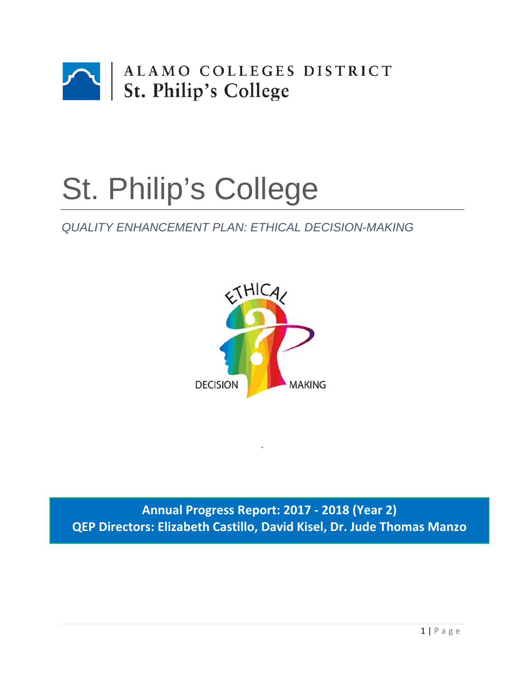

# St. Philip's College

# *QUALITY ENHANCEMENT PLAN: ETHICAL DECISION-MAKING*



**Annual Progress Report: 2017 ‐ 2018 (Year 2) QEP Directors: Elizabeth Castillo, David Kisel, Dr. Jude Thomas Manzo**

`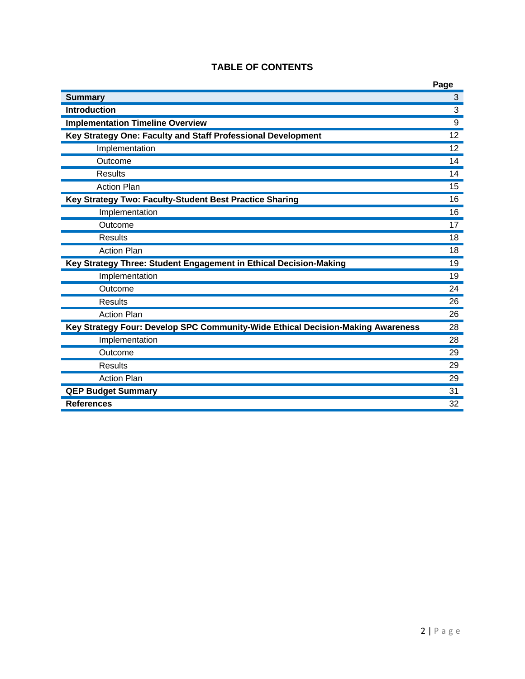|                                                                                 | Page            |
|---------------------------------------------------------------------------------|-----------------|
| <b>Summary</b>                                                                  | $\overline{3}$  |
| <b>Introduction</b>                                                             | $\overline{3}$  |
| <b>Implementation Timeline Overview</b>                                         | 9               |
| Key Strategy One: Faculty and Staff Professional Development                    | 12              |
| Implementation                                                                  | 12 <sup>2</sup> |
| Outcome                                                                         | 14              |
| <b>Results</b>                                                                  | 14              |
| <b>Action Plan</b>                                                              | 15              |
| Key Strategy Two: Faculty-Student Best Practice Sharing                         | 16              |
| Implementation                                                                  | 16              |
| Outcome                                                                         | 17              |
| <b>Results</b>                                                                  | 18              |
| <b>Action Plan</b>                                                              | 18              |
| Key Strategy Three: Student Engagement in Ethical Decision-Making               | 19              |
| Implementation                                                                  | 19              |
| Outcome                                                                         | 24              |
| <b>Results</b>                                                                  | 26              |
| <b>Action Plan</b>                                                              | 26              |
| Key Strategy Four: Develop SPC Community-Wide Ethical Decision-Making Awareness | 28              |
| Implementation                                                                  | 28              |
| Outcome                                                                         | 29              |
| <b>Results</b>                                                                  | 29              |
| <b>Action Plan</b>                                                              | 29              |
| <b>QEP Budget Summary</b>                                                       | 31              |
| <b>References</b>                                                               | 32              |

# **TABLE OF CONTENTS**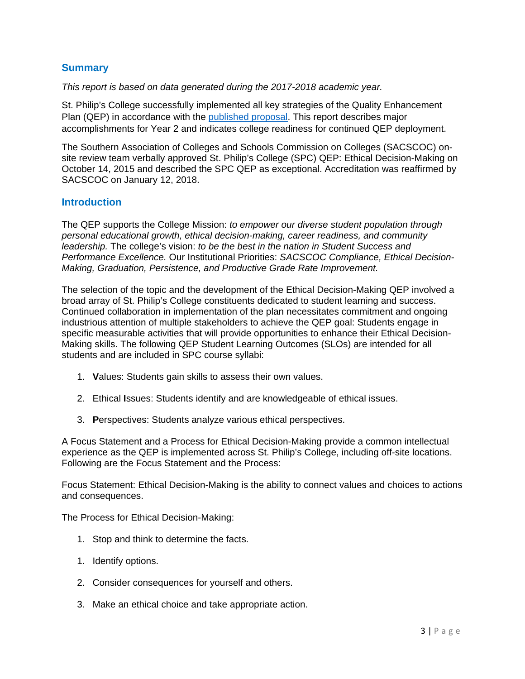# **Summary**

*This report is based on data generated during the 2017-2018 academic year.* 

St. Philip's College successfully implemented all key strategies of the Quality Enhancement Plan (QEP) in accordance with the published proposal. This report describes major accomplishments for Year 2 and indicates college readiness for continued QEP deployment.

The Southern Association of Colleges and Schools Commission on Colleges (SACSCOC) onsite review team verbally approved St. Philip's College (SPC) QEP: Ethical Decision-Making on October 14, 2015 and described the SPC QEP as exceptional. Accreditation was reaffirmed by SACSCOC on January 12, 2018.

#### **Introduction**

The QEP supports the College Mission: *to empower our diverse student population through personal educational growth, ethical decision-making, career readiness, and community leadership.* The college's vision: *to be the best in the nation in Student Success and Performance Excellence.* Our Institutional Priorities: *SACSCOC Compliance, Ethical Decision-Making, Graduation, Persistence, and Productive Grade Rate Improvement.* 

The selection of the topic and the development of the Ethical Decision-Making QEP involved a broad array of St. Philip's College constituents dedicated to student learning and success. Continued collaboration in implementation of the plan necessitates commitment and ongoing industrious attention of multiple stakeholders to achieve the QEP goal: Students engage in specific measurable activities that will provide opportunities to enhance their Ethical Decision-Making skills. The following QEP Student Learning Outcomes (SLOs) are intended for all students and are included in SPC course syllabi:

- 1. **V**alues: Students gain skills to assess their own values.
- 2. Ethical **I**ssues: Students identify and are knowledgeable of ethical issues.
- 3. **P**erspectives: Students analyze various ethical perspectives.

A Focus Statement and a Process for Ethical Decision-Making provide a common intellectual experience as the QEP is implemented across St. Philip's College, including off-site locations. Following are the Focus Statement and the Process:

Focus Statement: Ethical Decision-Making is the ability to connect values and choices to actions and consequences.

The Process for Ethical Decision-Making:

- 1. Stop and think to determine the facts.
- 1. Identify options.
- 2. Consider consequences for yourself and others.
- 3. Make an ethical choice and take appropriate action.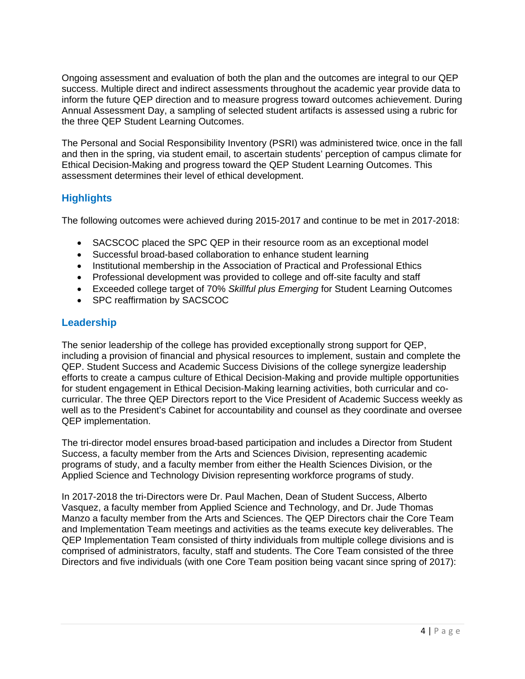Ongoing assessment and evaluation of both the plan and the outcomes are integral to our QEP success. Multiple direct and indirect assessments throughout the academic year provide data to inform the future QEP direction and to measure progress toward outcomes achievement. During Annual Assessment Day, a sampling of selected student artifacts is assessed using a rubric for the three QEP Student Learning Outcomes.

The Personal and Social Responsibility Inventory (PSRI) was administered twice, once in the fall and then in the spring, via student email, to ascertain students' perception of campus climate for Ethical Decision-Making and progress toward the QEP Student Learning Outcomes. This assessment determines their level of ethical development.

# **Highlights**

The following outcomes were achieved during 2015-2017 and continue to be met in 2017-2018:

- SACSCOC placed the SPC QEP in their resource room as an exceptional model
- Successful broad-based collaboration to enhance student learning
- Institutional membership in the Association of Practical and Professional Ethics
- Professional development was provided to college and off-site faculty and staff
- Exceeded college target of 70% *Skillful plus Emerging* for Student Learning Outcomes
- SPC reaffirmation by SACSCOC

# **Leadership**

The senior leadership of the college has provided exceptionally strong support for QEP, including a provision of financial and physical resources to implement, sustain and complete the QEP. Student Success and Academic Success Divisions of the college synergize leadership efforts to create a campus culture of Ethical Decision-Making and provide multiple opportunities for student engagement in Ethical Decision-Making learning activities, both curricular and cocurricular. The three QEP Directors report to the Vice President of Academic Success weekly as well as to the President's Cabinet for accountability and counsel as they coordinate and oversee QEP implementation.

The tri-director model ensures broad-based participation and includes a Director from Student Success, a faculty member from the Arts and Sciences Division, representing academic programs of study, and a faculty member from either the Health Sciences Division, or the Applied Science and Technology Division representing workforce programs of study.

In 2017-2018 the tri-Directors were Dr. Paul Machen, Dean of Student Success, Alberto Vasquez, a faculty member from Applied Science and Technology, and Dr. Jude Thomas Manzo a faculty member from the Arts and Sciences. The QEP Directors chair the Core Team and Implementation Team meetings and activities as the teams execute key deliverables. The QEP Implementation Team consisted of thirty individuals from multiple college divisions and is comprised of administrators, faculty, staff and students. The Core Team consisted of the three Directors and five individuals (with one Core Team position being vacant since spring of 2017):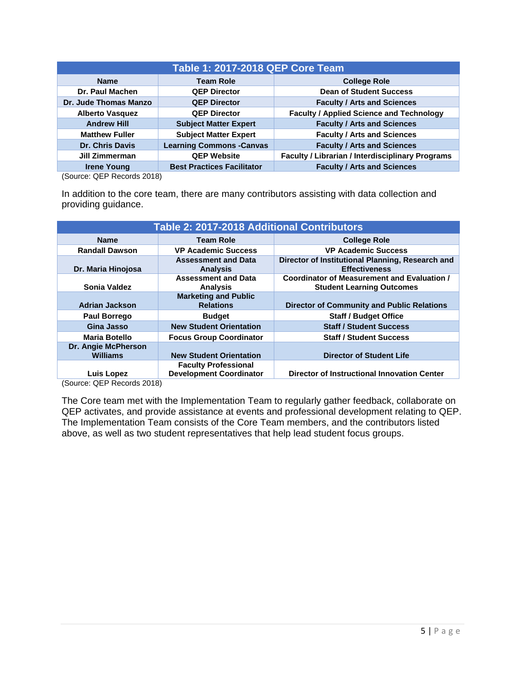| <b>Table 1: 2017-2018 QEP Core Team</b>           |                                   |                                                         |  |
|---------------------------------------------------|-----------------------------------|---------------------------------------------------------|--|
| <b>Name</b>                                       | <b>Team Role</b>                  | <b>College Role</b>                                     |  |
| <b>Dr. Paul Machen</b>                            | <b>QEP Director</b>               | <b>Dean of Student Success</b>                          |  |
| Dr. Jude Thomas Manzo                             | <b>QEP Director</b>               | <b>Faculty / Arts and Sciences</b>                      |  |
| <b>Alberto Vasquez</b>                            | <b>QEP Director</b>               | <b>Faculty / Applied Science and Technology</b>         |  |
| <b>Andrew Hill</b>                                | <b>Subject Matter Expert</b>      | <b>Faculty / Arts and Sciences</b>                      |  |
| <b>Matthew Fuller</b>                             | <b>Subject Matter Expert</b>      | <b>Faculty / Arts and Sciences</b>                      |  |
| <b>Dr. Chris Davis</b>                            | <b>Learning Commons - Canvas</b>  | <b>Faculty / Arts and Sciences</b>                      |  |
| Jill Zimmerman                                    | <b>QEP Website</b>                | <b>Faculty / Librarian / Interdisciplinary Programs</b> |  |
| <b>Irene Young</b><br>$\sim$<br>$\cdots$ $\cdots$ | <b>Best Practices Facilitator</b> | <b>Faculty / Arts and Sciences</b>                      |  |

(Source: QEP Records 2018)

In addition to the core team, there are many contributors assisting with data collection and providing guidance.

| Table 2: 2017-2018 Additional Contributors |                                                               |                                                                                 |  |
|--------------------------------------------|---------------------------------------------------------------|---------------------------------------------------------------------------------|--|
| <b>Name</b>                                | <b>Team Role</b>                                              | <b>College Role</b>                                                             |  |
| <b>Randall Dawson</b>                      | <b>VP Academic Success</b>                                    | <b>VP Academic Success</b>                                                      |  |
| Dr. Maria Hinojosa                         | <b>Assessment and Data</b><br><b>Analysis</b>                 | Director of Institutional Planning, Research and<br><b>Effectiveness</b>        |  |
| <b>Sonia Valdez</b>                        | <b>Assessment and Data</b><br><b>Analysis</b>                 | Coordinator of Measurement and Evaluation /<br><b>Student Learning Outcomes</b> |  |
| <b>Adrian Jackson</b>                      | <b>Marketing and Public</b><br><b>Relations</b>               | <b>Director of Community and Public Relations</b>                               |  |
| <b>Paul Borrego</b>                        | <b>Budget</b>                                                 | <b>Staff / Budget Office</b>                                                    |  |
| Gina Jasso                                 | <b>New Student Orientation</b>                                | <b>Staff / Student Success</b>                                                  |  |
| <b>Maria Botello</b>                       | <b>Focus Group Coordinator</b>                                | <b>Staff / Student Success</b>                                                  |  |
| Dr. Angie McPherson<br><b>Williams</b>     | <b>New Student Orientation</b>                                | <b>Director of Student Life</b>                                                 |  |
| Luis Lopez                                 | <b>Faculty Professional</b><br><b>Development Coordinator</b> | <b>Director of Instructional Innovation Center</b>                              |  |

(Source: QEP Records 2018)

The Core team met with the Implementation Team to regularly gather feedback, collaborate on QEP activates, and provide assistance at events and professional development relating to QEP. The Implementation Team consists of the Core Team members, and the contributors listed above, as well as two student representatives that help lead student focus groups.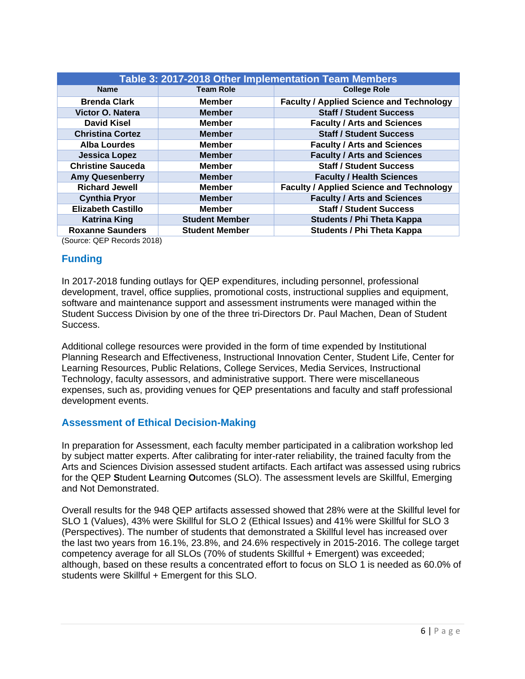| Table 3: 2017-2018 Other Implementation Team Members |                       |                                                 |  |
|------------------------------------------------------|-----------------------|-------------------------------------------------|--|
| <b>Name</b>                                          | <b>Team Role</b>      | <b>College Role</b>                             |  |
| <b>Brenda Clark</b>                                  | <b>Member</b>         | <b>Faculty / Applied Science and Technology</b> |  |
| Victor O. Natera                                     | <b>Member</b>         | <b>Staff / Student Success</b>                  |  |
| <b>David Kisel</b>                                   | <b>Member</b>         | <b>Faculty / Arts and Sciences</b>              |  |
| <b>Christina Cortez</b>                              | <b>Member</b>         | <b>Staff / Student Success</b>                  |  |
| <b>Alba Lourdes</b>                                  | <b>Member</b>         | <b>Faculty / Arts and Sciences</b>              |  |
| <b>Jessica Lopez</b>                                 | <b>Member</b>         | <b>Faculty / Arts and Sciences</b>              |  |
| <b>Christine Sauceda</b>                             | <b>Member</b>         | <b>Staff / Student Success</b>                  |  |
| <b>Amy Quesenberry</b>                               | <b>Member</b>         | <b>Faculty / Health Sciences</b>                |  |
| <b>Richard Jewell</b>                                | <b>Member</b>         | <b>Faculty / Applied Science and Technology</b> |  |
| <b>Cynthia Pryor</b>                                 | <b>Member</b>         | <b>Faculty / Arts and Sciences</b>              |  |
| <b>Elizabeth Castillo</b>                            | <b>Member</b>         | <b>Staff / Student Success</b>                  |  |
| <b>Katrina King</b>                                  | <b>Student Member</b> | <b>Students / Phi Theta Kappa</b>               |  |
| <b>Roxanne Saunders</b>                              | <b>Student Member</b> | <b>Students / Phi Theta Kappa</b>               |  |

(Source: QEP Records 2018)

#### **Funding**

In 2017-2018 funding outlays for QEP expenditures, including personnel, professional development, travel, office supplies, promotional costs, instructional supplies and equipment, software and maintenance support and assessment instruments were managed within the Student Success Division by one of the three tri-Directors Dr. Paul Machen, Dean of Student Success.

Additional college resources were provided in the form of time expended by Institutional Planning Research and Effectiveness, Instructional Innovation Center, Student Life, Center for Learning Resources, Public Relations, College Services, Media Services, Instructional Technology, faculty assessors, and administrative support. There were miscellaneous expenses, such as, providing venues for QEP presentations and faculty and staff professional development events.

# **Assessment of Ethical Decision-Making**

In preparation for Assessment, each faculty member participated in a calibration workshop led by subject matter experts. After calibrating for inter-rater reliability, the trained faculty from the Arts and Sciences Division assessed student artifacts. Each artifact was assessed using rubrics for the QEP **S**tudent **L**earning **O**utcomes (SLO). The assessment levels are Skillful, Emerging and Not Demonstrated.

Overall results for the 948 QEP artifacts assessed showed that 28% were at the Skillful level for SLO 1 (Values), 43% were Skillful for SLO 2 (Ethical Issues) and 41% were Skillful for SLO 3 (Perspectives). The number of students that demonstrated a Skillful level has increased over the last two years from 16.1%, 23.8%, and 24.6% respectively in 2015-2016. The college target competency average for all SLOs (70% of students Skillful + Emergent) was exceeded; although, based on these results a concentrated effort to focus on SLO 1 is needed as 60.0% of students were Skillful + Emergent for this SLO.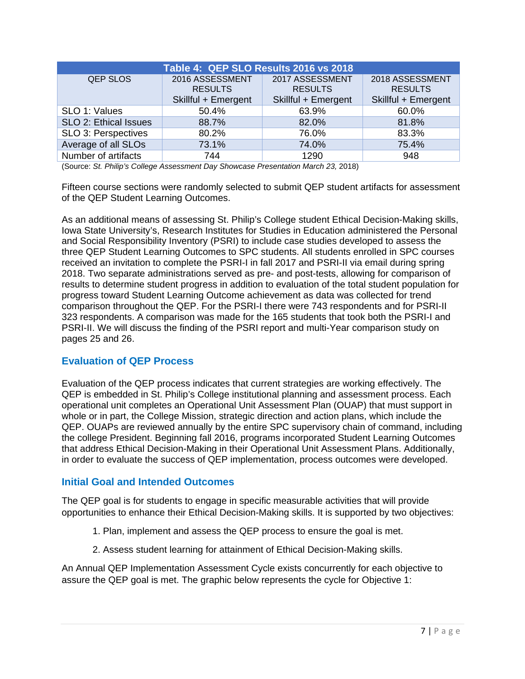| Table 4: QEP SLO Results 2016 vs 2018 |                     |                     |                     |  |
|---------------------------------------|---------------------|---------------------|---------------------|--|
| <b>QEP SLOS</b>                       | 2016 ASSESSMENT     | 2017 ASSESSMENT     | 2018 ASSESSMENT     |  |
|                                       | <b>RESULTS</b>      | <b>RESULTS</b>      | <b>RESULTS</b>      |  |
|                                       | Skillful + Emergent | Skillful + Emergent | Skillful + Emergent |  |
| SLO 1: Values                         | 50.4%               | 63.9%               | 60.0%               |  |
| SLO 2: Ethical Issues                 | 88.7%               | 82.0%               | 81.8%               |  |
| SLO 3: Perspectives                   | 80.2%               | 76.0%               | 83.3%               |  |
| Average of all SLOs                   | 73.1%               | 74.0%               | 75.4%               |  |
| Number of artifacts                   | 744                 | 1290                | 948                 |  |

(Source: *St. Philip's College Assessment Day Showcase Presentation March 23,* 2018)

Fifteen course sections were randomly selected to submit QEP student artifacts for assessment of the QEP Student Learning Outcomes.

As an additional means of assessing St. Philip's College student Ethical Decision-Making skills, Iowa State University's, Research Institutes for Studies in Education administered the Personal and Social Responsibility Inventory (PSRI) to include case studies developed to assess the three QEP Student Learning Outcomes to SPC students. All students enrolled in SPC courses received an invitation to complete the PSRI-I in fall 2017 and PSRI-II via email during spring 2018. Two separate administrations served as pre- and post-tests, allowing for comparison of results to determine student progress in addition to evaluation of the total student population for progress toward Student Learning Outcome achievement as data was collected for trend comparison throughout the QEP. For the PSRI-I there were 743 respondents and for PSRI-II 323 respondents. A comparison was made for the 165 students that took both the PSRI-I and PSRI-II. We will discuss the finding of the PSRI report and multi-Year comparison study on pages 25 and 26.

# **Evaluation of QEP Process**

Evaluation of the QEP process indicates that current strategies are working effectively. The QEP is embedded in St. Philip's College institutional planning and assessment process. Each operational unit completes an Operational Unit Assessment Plan (OUAP) that must support in whole or in part, the College Mission, strategic direction and action plans, which include the QEP. OUAPs are reviewed annually by the entire SPC supervisory chain of command, including the college President. Beginning fall 2016, programs incorporated Student Learning Outcomes that address Ethical Decision-Making in their Operational Unit Assessment Plans. Additionally, in order to evaluate the success of QEP implementation, process outcomes were developed.

# **Initial Goal and Intended Outcomes**

The QEP goal is for students to engage in specific measurable activities that will provide opportunities to enhance their Ethical Decision-Making skills. It is supported by two objectives:

- 1. Plan, implement and assess the QEP process to ensure the goal is met.
- 2. Assess student learning for attainment of Ethical Decision-Making skills.

An Annual QEP Implementation Assessment Cycle exists concurrently for each objective to assure the QEP goal is met. The graphic below represents the cycle for Objective 1: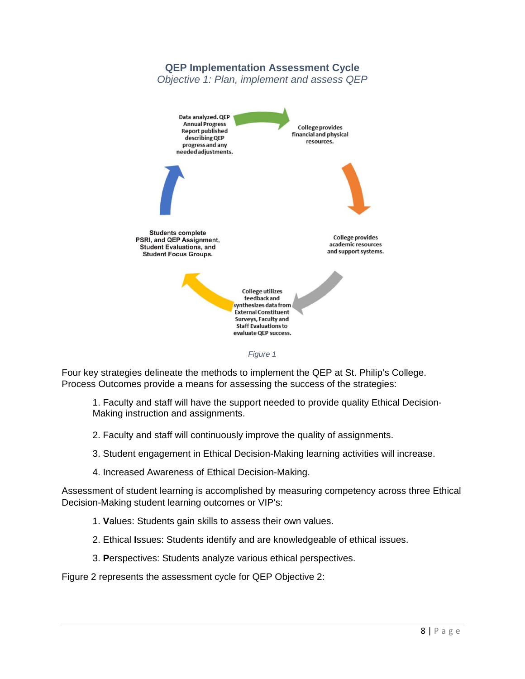# **QEP Implementation Assessment Cycle**

*Objective 1: Plan, implement and assess QEP* 



Four key strategies delineate the methods to implement the QEP at St. Philip's College. Process Outcomes provide a means for assessing the success of the strategies:

1. Faculty and staff will have the support needed to provide quality Ethical Decision-Making instruction and assignments.

- 2. Faculty and staff will continuously improve the quality of assignments.
- 3. Student engagement in Ethical Decision-Making learning activities will increase.
- 4. Increased Awareness of Ethical Decision-Making.

Assessment of student learning is accomplished by measuring competency across three Ethical Decision-Making student learning outcomes or VIP's:

- 1. **V**alues: Students gain skills to assess their own values.
- 2. Ethical **I**ssues: Students identify and are knowledgeable of ethical issues.
- 3. **P**erspectives: Students analyze various ethical perspectives.

Figure 2 represents the assessment cycle for QEP Objective 2: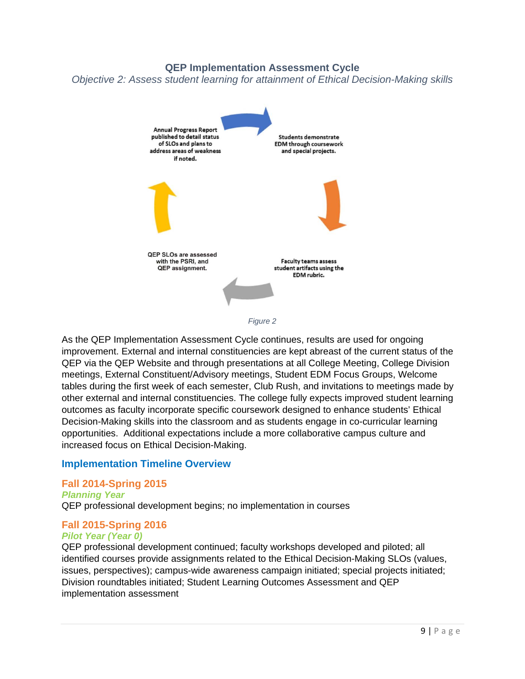**QEP Implementation Assessment Cycle** 

*Objective 2: Assess student learning for attainment of Ethical Decision-Making skills* 



As the QEP Implementation Assessment Cycle continues, results are used for ongoing improvement. External and internal constituencies are kept abreast of the current status of the QEP via the QEP Website and through presentations at all College Meeting, College Division meetings, External Constituent/Advisory meetings, Student EDM Focus Groups, Welcome tables during the first week of each semester, Club Rush, and invitations to meetings made by other external and internal constituencies. The college fully expects improved student learning outcomes as faculty incorporate specific coursework designed to enhance students' Ethical Decision-Making skills into the classroom and as students engage in co-curricular learning opportunities. Additional expectations include a more collaborative campus culture and increased focus on Ethical Decision-Making.

# **Implementation Timeline Overview**

#### **Fall 2014-Spring 2015**

#### *Planning Year*

QEP professional development begins; no implementation in courses

#### **Fall 2015-Spring 2016**

#### *Pilot Year (Year 0)*

QEP professional development continued; faculty workshops developed and piloted; all identified courses provide assignments related to the Ethical Decision-Making SLOs (values, issues, perspectives); campus-wide awareness campaign initiated; special projects initiated; Division roundtables initiated; Student Learning Outcomes Assessment and QEP implementation assessment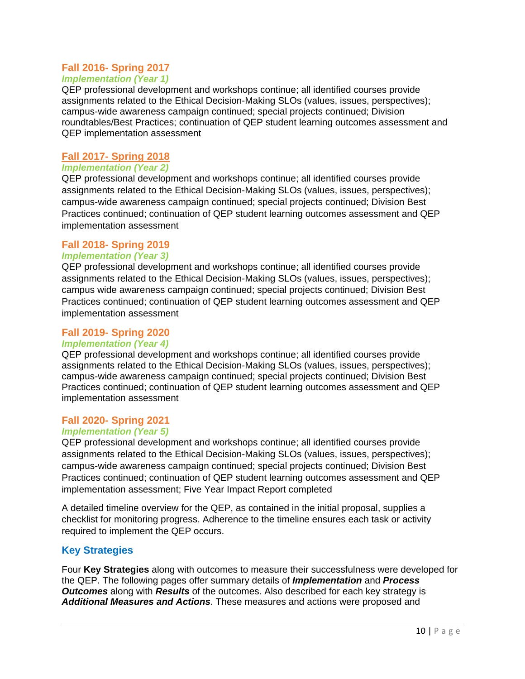# **Fall 2016- Spring 2017**

#### *Implementation (Year 1)*

QEP professional development and workshops continue; all identified courses provide assignments related to the Ethical Decision-Making SLOs (values, issues, perspectives); campus-wide awareness campaign continued; special projects continued; Division roundtables/Best Practices; continuation of QEP student learning outcomes assessment and QEP implementation assessment

#### **Fall 2017- Spring 2018**

#### *Implementation (Year 2)*

QEP professional development and workshops continue; all identified courses provide assignments related to the Ethical Decision-Making SLOs (values, issues, perspectives); campus-wide awareness campaign continued; special projects continued; Division Best Practices continued; continuation of QEP student learning outcomes assessment and QEP implementation assessment

# **Fall 2018- Spring 2019**

#### *Implementation (Year 3)*

QEP professional development and workshops continue; all identified courses provide assignments related to the Ethical Decision-Making SLOs (values, issues, perspectives); campus wide awareness campaign continued; special projects continued; Division Best Practices continued; continuation of QEP student learning outcomes assessment and QEP implementation assessment

#### **Fall 2019- Spring 2020**

#### *Implementation (Year 4)*

QEP professional development and workshops continue; all identified courses provide assignments related to the Ethical Decision-Making SLOs (values, issues, perspectives); campus-wide awareness campaign continued; special projects continued; Division Best Practices continued; continuation of QEP student learning outcomes assessment and QEP implementation assessment

#### **Fall 2020- Spring 2021**

#### *Implementation (Year 5)*

QEP professional development and workshops continue; all identified courses provide assignments related to the Ethical Decision-Making SLOs (values, issues, perspectives); campus-wide awareness campaign continued; special projects continued; Division Best Practices continued; continuation of QEP student learning outcomes assessment and QEP implementation assessment; Five Year Impact Report completed

A detailed timeline overview for the QEP, as contained in the initial proposal, supplies a checklist for monitoring progress. Adherence to the timeline ensures each task or activity required to implement the QEP occurs.

# **Key Strategies**

Four **Key Strategies** along with outcomes to measure their successfulness were developed for the QEP. The following pages offer summary details of *Implementation* and *Process Outcomes* along with *Results* of the outcomes. Also described for each key strategy is *Additional Measures and Actions*. These measures and actions were proposed and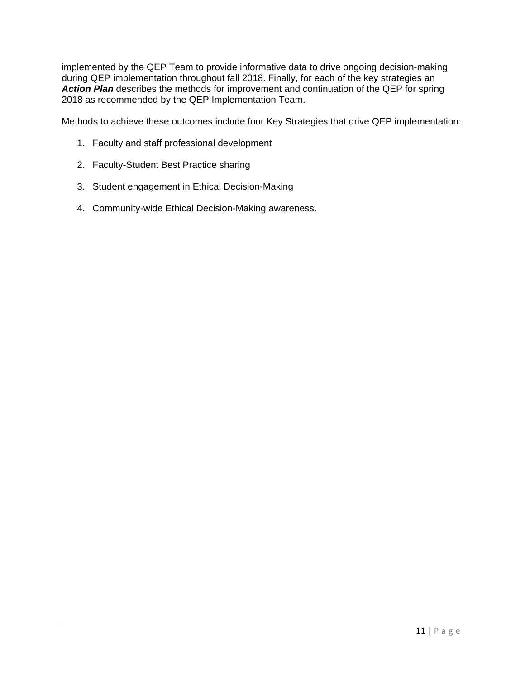implemented by the QEP Team to provide informative data to drive ongoing decision-making during QEP implementation throughout fall 2018. Finally, for each of the key strategies an Action Plan describes the methods for improvement and continuation of the QEP for spring 2018 as recommended by the QEP Implementation Team.

Methods to achieve these outcomes include four Key Strategies that drive QEP implementation:

- 1. Faculty and staff professional development
- 2. Faculty-Student Best Practice sharing
- 3. Student engagement in Ethical Decision-Making
- 4. Community-wide Ethical Decision-Making awareness.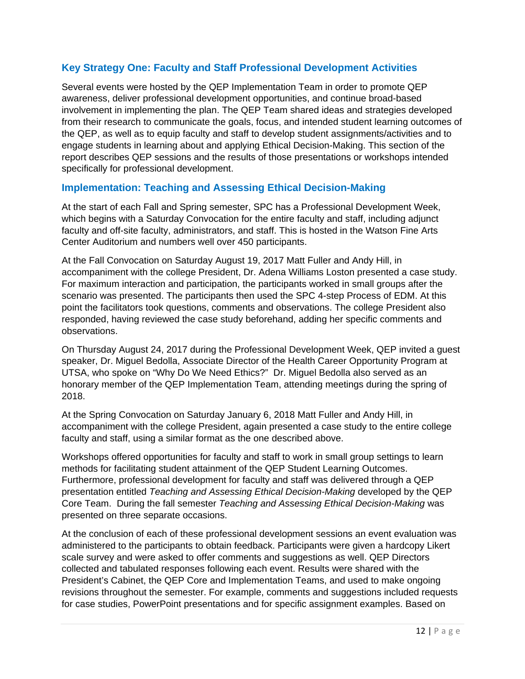# **Key Strategy One: Faculty and Staff Professional Development Activities**

Several events were hosted by the QEP Implementation Team in order to promote QEP awareness, deliver professional development opportunities, and continue broad-based involvement in implementing the plan. The QEP Team shared ideas and strategies developed from their research to communicate the goals, focus, and intended student learning outcomes of the QEP, as well as to equip faculty and staff to develop student assignments/activities and to engage students in learning about and applying Ethical Decision-Making. This section of the report describes QEP sessions and the results of those presentations or workshops intended specifically for professional development.

# **Implementation: Teaching and Assessing Ethical Decision-Making**

At the start of each Fall and Spring semester, SPC has a Professional Development Week, which begins with a Saturday Convocation for the entire faculty and staff, including adjunct faculty and off-site faculty, administrators, and staff. This is hosted in the Watson Fine Arts Center Auditorium and numbers well over 450 participants.

At the Fall Convocation on Saturday August 19, 2017 Matt Fuller and Andy Hill, in accompaniment with the college President, Dr. Adena Williams Loston presented a case study. For maximum interaction and participation, the participants worked in small groups after the scenario was presented. The participants then used the SPC 4-step Process of EDM. At this point the facilitators took questions, comments and observations. The college President also responded, having reviewed the case study beforehand, adding her specific comments and observations.

On Thursday August 24, 2017 during the Professional Development Week, QEP invited a guest speaker, Dr. Miguel Bedolla, Associate Director of the Health Career Opportunity Program at UTSA, who spoke on "Why Do We Need Ethics?" Dr. Miguel Bedolla also served as an honorary member of the QEP Implementation Team, attending meetings during the spring of 2018.

At the Spring Convocation on Saturday January 6, 2018 Matt Fuller and Andy Hill, in accompaniment with the college President, again presented a case study to the entire college faculty and staff, using a similar format as the one described above.

Workshops offered opportunities for faculty and staff to work in small group settings to learn methods for facilitating student attainment of the QEP Student Learning Outcomes. Furthermore, professional development for faculty and staff was delivered through a QEP presentation entitled *Teaching and Assessing Ethical Decision-Making* developed by the QEP Core Team. During the fall semester *Teaching and Assessing Ethical Decision-Making* was presented on three separate occasions.

At the conclusion of each of these professional development sessions an event evaluation was administered to the participants to obtain feedback. Participants were given a hardcopy Likert scale survey and were asked to offer comments and suggestions as well. QEP Directors collected and tabulated responses following each event. Results were shared with the President's Cabinet, the QEP Core and Implementation Teams, and used to make ongoing revisions throughout the semester. For example, comments and suggestions included requests for case studies, PowerPoint presentations and for specific assignment examples. Based on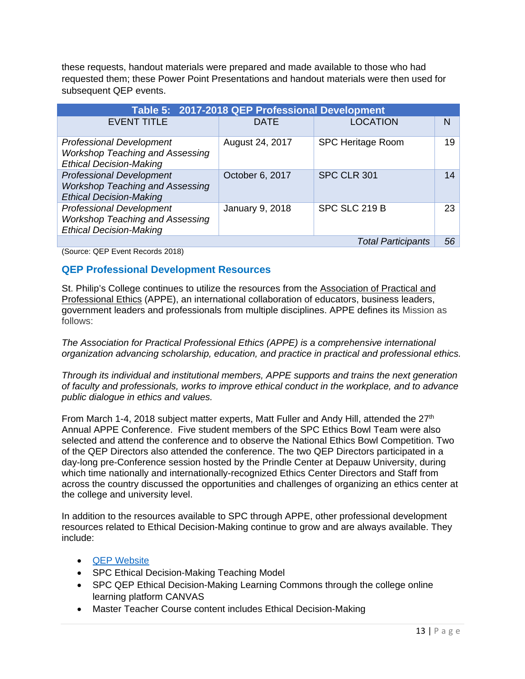these requests, handout materials were prepared and made available to those who had requested them; these Power Point Presentations and handout materials were then used for subsequent QEP events.

| Table 5: 2017-2018 QEP Professional Development                                                             |                 |                           |    |  |
|-------------------------------------------------------------------------------------------------------------|-----------------|---------------------------|----|--|
| <b>EVENT TITLE</b>                                                                                          | <b>DATE</b>     | <b>LOCATION</b>           | N  |  |
| <b>Professional Development</b><br><b>Workshop Teaching and Assessing</b><br><b>Ethical Decision-Making</b> | August 24, 2017 | <b>SPC Heritage Room</b>  | 19 |  |
| <b>Professional Development</b><br><b>Workshop Teaching and Assessing</b><br><b>Ethical Decision-Making</b> | October 6, 2017 | SPC CLR 301               | 14 |  |
| <b>Professional Development</b><br><b>Workshop Teaching and Assessing</b><br><b>Ethical Decision-Making</b> | January 9, 2018 | SPC SLC 219 B             | 23 |  |
|                                                                                                             |                 | <b>Total Participants</b> | 56 |  |

(Source: QEP Event Records 2018)

# **QEP Professional Development Resources**

St. Philip's College continues to utilize the resources from the Association of Practical and Professional Ethics (APPE), an international collaboration of educators, business leaders, government leaders and professionals from multiple disciplines. APPE defines its Mission as follows:

*The Association for Practical Professional Ethics (APPE) is a comprehensive international organization advancing scholarship, education, and practice in practical and professional ethics.* 

*Through its individual and institutional members, APPE supports and trains the next generation of faculty and professionals, works to improve ethical conduct in the workplace, and to advance public dialogue in ethics and values.* 

From March 1-4, 2018 subject matter experts, Matt Fuller and Andy Hill, attended the 27<sup>th</sup> Annual APPE Conference. Five student members of the SPC Ethics Bowl Team were also selected and attend the conference and to observe the National Ethics Bowl Competition. Two of the QEP Directors also attended the conference. The two QEP Directors participated in a day-long pre-Conference session hosted by the Prindle Center at Depauw University, during which time nationally and internationally-recognized Ethics Center Directors and Staff from across the country discussed the opportunities and challenges of organizing an ethics center at the college and university level.

In addition to the resources available to SPC through APPE, other professional development resources related to Ethical Decision-Making continue to grow and are always available. They include:

- QEP Website
- SPC Ethical Decision-Making Teaching Model
- SPC QEP Ethical Decision-Making Learning Commons through the college online learning platform CANVAS
- Master Teacher Course content includes Ethical Decision-Making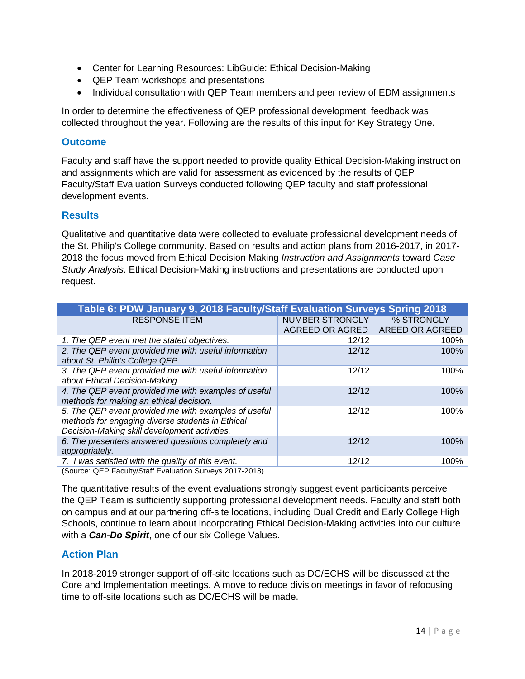- Center for Learning Resources: LibGuide: Ethical Decision-Making
- QEP Team workshops and presentations
- Individual consultation with QEP Team members and peer review of EDM assignments

In order to determine the effectiveness of QEP professional development, feedback was collected throughout the year. Following are the results of this input for Key Strategy One.

#### **Outcome**

Faculty and staff have the support needed to provide quality Ethical Decision-Making instruction and assignments which are valid for assessment as evidenced by the results of QEP Faculty/Staff Evaluation Surveys conducted following QEP faculty and staff professional development events.

#### **Results**

Qualitative and quantitative data were collected to evaluate professional development needs of the St. Philip's College community. Based on results and action plans from 2016-2017, in 2017- 2018 the focus moved from Ethical Decision Making *Instruction and Assignments* toward *Case Study Analysis*. Ethical Decision-Making instructions and presentations are conducted upon request.

| Table 6: PDW January 9, 2018 Faculty/Staff Evaluation Surveys Spring 2018 |                 |                 |  |  |
|---------------------------------------------------------------------------|-----------------|-----------------|--|--|
| <b>RESPONSE ITEM</b>                                                      | NUMBER STRONGLY | % STRONGLY      |  |  |
|                                                                           | AGREED OR AGRED | AREED OR AGREED |  |  |
| 1. The QEP event met the stated objectives.                               | 12/12           | 100%            |  |  |
| 2. The QEP event provided me with useful information                      | 12/12           | 100%            |  |  |
| about St. Philip's College QEP.                                           |                 |                 |  |  |
| 3. The QEP event provided me with useful information                      | 12/12           | 100%            |  |  |
| about Ethical Decision-Making.                                            |                 |                 |  |  |
| 4. The QEP event provided me with examples of useful                      | 12/12           | 100%            |  |  |
| methods for making an ethical decision.                                   |                 |                 |  |  |
| 5. The QEP event provided me with examples of useful                      | 12/12           | 100%            |  |  |
| methods for engaging diverse students in Ethical                          |                 |                 |  |  |
| Decision-Making skill development activities.                             |                 |                 |  |  |
| 6. The presenters answered questions completely and                       | 12/12           | 100%            |  |  |
| appropriately.                                                            |                 |                 |  |  |
| 7. I was satisfied with the quality of this event.                        | 12/12           | 100%            |  |  |

(Source: QEP Faculty/Staff Evaluation Surveys 2017-2018)

The quantitative results of the event evaluations strongly suggest event participants perceive the QEP Team is sufficiently supporting professional development needs. Faculty and staff both on campus and at our partnering off-site locations, including Dual Credit and Early College High Schools, continue to learn about incorporating Ethical Decision-Making activities into our culture with a *Can-Do Spirit*, one of our six College Values.

# **Action Plan**

In 2018-2019 stronger support of off-site locations such as DC/ECHS will be discussed at the Core and Implementation meetings. A move to reduce division meetings in favor of refocusing time to off-site locations such as DC/ECHS will be made.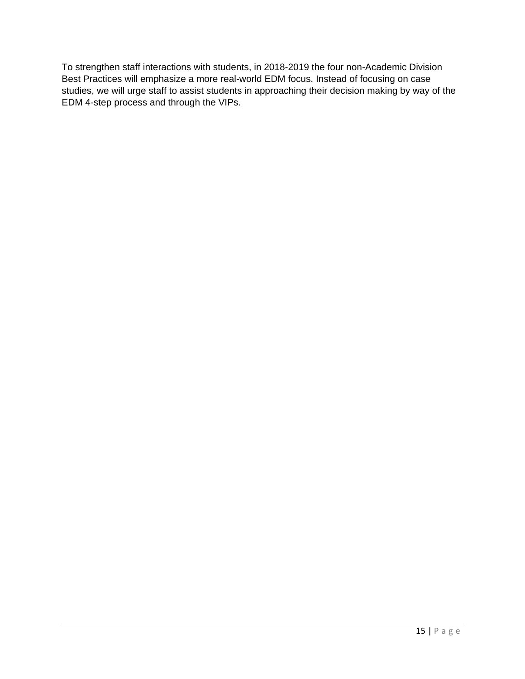To strengthen staff interactions with students, in 2018-2019 the four non-Academic Division Best Practices will emphasize a more real-world EDM focus. Instead of focusing on case studies, we will urge staff to assist students in approaching their decision making by way of the EDM 4-step process and through the VIPs.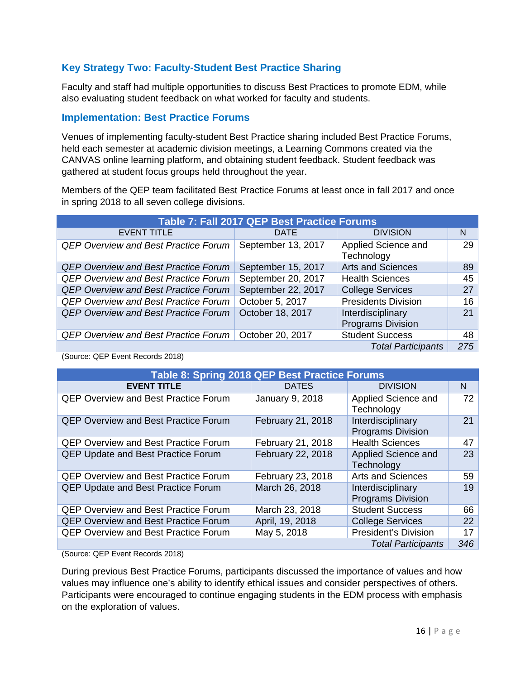# **Key Strategy Two: Faculty-Student Best Practice Sharing**

Faculty and staff had multiple opportunities to discuss Best Practices to promote EDM, while also evaluating student feedback on what worked for faculty and students.

# **Implementation: Best Practice Forums**

Venues of implementing faculty-student Best Practice sharing included Best Practice Forums, held each semester at academic division meetings, a Learning Commons created via the CANVAS online learning platform, and obtaining student feedback. Student feedback was gathered at student focus groups held throughout the year.

Members of the QEP team facilitated Best Practice Forums at least once in fall 2017 and once in spring 2018 to all seven college divisions.

| Table 7: Fall 2017 QEP Best Practice Forums |                    |                                               |     |  |
|---------------------------------------------|--------------------|-----------------------------------------------|-----|--|
| <b>EVENT TITLE</b>                          | <b>DATE</b>        | <b>DIVISION</b>                               | N   |  |
| <b>QEP Overview and Best Practice Forum</b> | September 13, 2017 | Applied Science and<br>Technology             | 29  |  |
| <b>QEP Overview and Best Practice Forum</b> | September 15, 2017 | <b>Arts and Sciences</b>                      | 89  |  |
| <b>QEP Overview and Best Practice Forum</b> | September 20, 2017 | <b>Health Sciences</b>                        | 45  |  |
| <b>QEP Overview and Best Practice Forum</b> | September 22, 2017 | <b>College Services</b>                       | 27  |  |
| <b>QEP Overview and Best Practice Forum</b> | October 5, 2017    | <b>Presidents Division</b>                    | 16  |  |
| <b>QEP Overview and Best Practice Forum</b> | October 18, 2017   | Interdisciplinary<br><b>Programs Division</b> | 21  |  |
| <b>QEP Overview and Best Practice Forum</b> | October 20, 2017   | <b>Student Success</b>                        | 48  |  |
|                                             |                    | <b>Total Participants</b>                     | 275 |  |

(Source: QEP Event Records 2018)

| Table 8: Spring 2018 QEP Best Practice Forums |                   |                                               |     |
|-----------------------------------------------|-------------------|-----------------------------------------------|-----|
| <b>EVENT TITLE</b>                            | <b>DATES</b>      | <b>DIVISION</b>                               | N   |
| <b>QEP Overview and Best Practice Forum</b>   | January 9, 2018   | Applied Science and<br>Technology             | 72  |
| <b>QEP Overview and Best Practice Forum</b>   | February 21, 2018 | Interdisciplinary<br><b>Programs Division</b> | 21  |
| <b>QEP Overview and Best Practice Forum</b>   | February 21, 2018 | <b>Health Sciences</b>                        | 47  |
| <b>QEP Update and Best Practice Forum</b>     | February 22, 2018 | Applied Science and<br>Technology             | 23  |
| <b>QEP Overview and Best Practice Forum</b>   | February 23, 2018 | <b>Arts and Sciences</b>                      | 59  |
| <b>QEP Update and Best Practice Forum</b>     | March 26, 2018    | Interdisciplinary<br><b>Programs Division</b> | 19  |
| <b>QEP Overview and Best Practice Forum</b>   | March 23, 2018    | <b>Student Success</b>                        | 66  |
| <b>QEP Overview and Best Practice Forum</b>   | April, 19, 2018   | <b>College Services</b>                       | 22  |
| <b>QEP Overview and Best Practice Forum</b>   | May 5, 2018       | <b>President's Division</b>                   | 17  |
|                                               |                   | <b>Total Participants</b>                     | 346 |

(Source: QEP Event Records 2018)

During previous Best Practice Forums, participants discussed the importance of values and how values may influence one's ability to identify ethical issues and consider perspectives of others. Participants were encouraged to continue engaging students in the EDM process with emphasis on the exploration of values.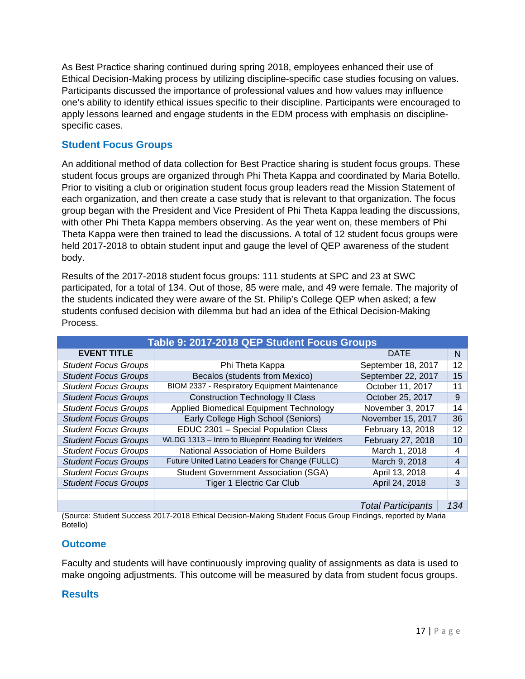As Best Practice sharing continued during spring 2018, employees enhanced their use of Ethical Decision-Making process by utilizing discipline-specific case studies focusing on values. Participants discussed the importance of professional values and how values may influence one's ability to identify ethical issues specific to their discipline. Participants were encouraged to apply lessons learned and engage students in the EDM process with emphasis on disciplinespecific cases.

# **Student Focus Groups**

An additional method of data collection for Best Practice sharing is student focus groups. These student focus groups are organized through Phi Theta Kappa and coordinated by Maria Botello. Prior to visiting a club or origination student focus group leaders read the Mission Statement of each organization, and then create a case study that is relevant to that organization. The focus group began with the President and Vice President of Phi Theta Kappa leading the discussions, with other Phi Theta Kappa members observing. As the year went on, these members of Phi Theta Kappa were then trained to lead the discussions. A total of 12 student focus groups were held 2017-2018 to obtain student input and gauge the level of QEP awareness of the student body.

Results of the 2017-2018 student focus groups: 111 students at SPC and 23 at SWC participated, for a total of 134. Out of those, 85 were male, and 49 were female. The majority of the students indicated they were aware of the St. Philip's College QEP when asked; a few students confused decision with dilemma but had an idea of the Ethical Decision-Making Process.

| Table 9: 2017-2018 QEP Student Focus Groups |                                                    |                           |     |
|---------------------------------------------|----------------------------------------------------|---------------------------|-----|
| <b>EVENT TITLE</b>                          |                                                    | <b>DATE</b>               | N.  |
| <b>Student Focus Groups</b>                 | Phi Theta Kappa                                    | September 18, 2017        | 12  |
| <b>Student Focus Groups</b>                 | Becalos (students from Mexico)                     | September 22, 2017        | 15  |
| <b>Student Focus Groups</b>                 | BIOM 2337 - Respiratory Equipment Maintenance      | October 11, 2017          | 11  |
| <b>Student Focus Groups</b>                 | <b>Construction Technology II Class</b>            | October 25, 2017          | 9   |
| <b>Student Focus Groups</b>                 | Applied Biomedical Equipment Technology            | November 3, 2017          | 14  |
| <b>Student Focus Groups</b>                 | Early College High School (Seniors)                | November 15, 2017         | 36  |
| <b>Student Focus Groups</b>                 | EDUC 2301 - Special Population Class               | February 13, 2018         | 12  |
| <b>Student Focus Groups</b>                 | WLDG 1313 - Intro to Blueprint Reading for Welders | February 27, 2018         | 10  |
| <b>Student Focus Groups</b>                 | National Association of Home Builders              | March 1, 2018             | 4   |
| <b>Student Focus Groups</b>                 | Future United Latino Leaders for Change (FULLC)    | March 9, 2018             | 4   |
| <b>Student Focus Groups</b>                 | <b>Student Government Association (SGA)</b>        | April 13, 2018            | 4   |
| <b>Student Focus Groups</b>                 | <b>Tiger 1 Electric Car Club</b>                   | April 24, 2018            | 3   |
|                                             |                                                    |                           |     |
|                                             |                                                    | <b>Total Participants</b> | 134 |

(Source: Student Success 2017-2018 Ethical Decision-Making Student Focus Group Findings, reported by Maria Botello)

# **Outcome**

Faculty and students will have continuously improving quality of assignments as data is used to make ongoing adjustments. This outcome will be measured by data from student focus groups.

# **Results**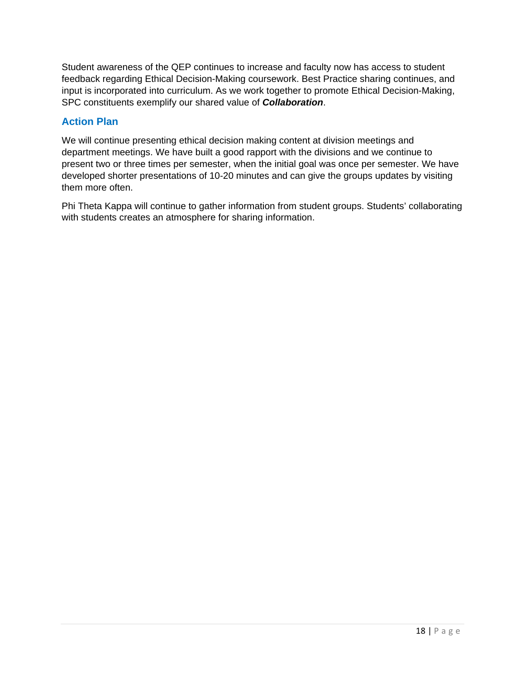Student awareness of the QEP continues to increase and faculty now has access to student feedback regarding Ethical Decision-Making coursework. Best Practice sharing continues, and input is incorporated into curriculum. As we work together to promote Ethical Decision-Making, SPC constituents exemplify our shared value of *Collaboration*.

# **Action Plan**

We will continue presenting ethical decision making content at division meetings and department meetings. We have built a good rapport with the divisions and we continue to present two or three times per semester, when the initial goal was once per semester. We have developed shorter presentations of 10-20 minutes and can give the groups updates by visiting them more often.

Phi Theta Kappa will continue to gather information from student groups. Students' collaborating with students creates an atmosphere for sharing information.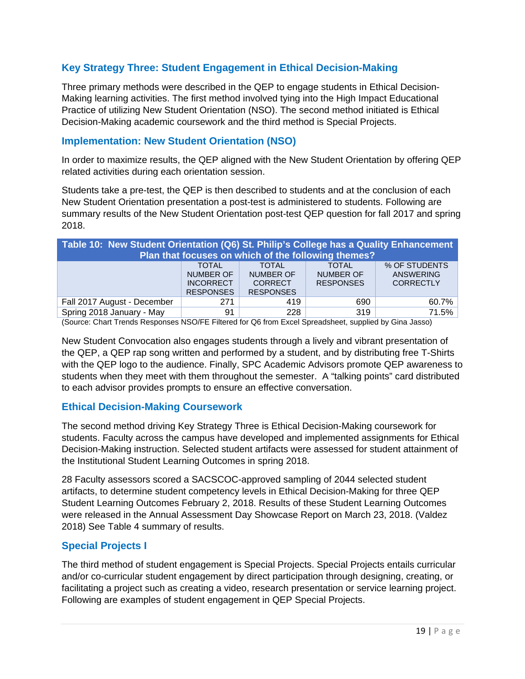# **Key Strategy Three: Student Engagement in Ethical Decision-Making**

Three primary methods were described in the QEP to engage students in Ethical Decision-Making learning activities. The first method involved tying into the High Impact Educational Practice of utilizing New Student Orientation (NSO). The second method initiated is Ethical Decision-Making academic coursework and the third method is Special Projects.

#### **Implementation: New Student Orientation (NSO)**

In order to maximize results, the QEP aligned with the New Student Orientation by offering QEP related activities during each orientation session.

Students take a pre-test, the QEP is then described to students and at the conclusion of each New Student Orientation presentation a post-test is administered to students. Following are summary results of the New Student Orientation post-test QEP question for fall 2017 and spring 2018.

| Table 10: New Student Orientation (Q6) St. Philip's College has a Quality Enhancement<br>Plan that focuses on which of the following themes?                                                                                                          |     |     |     |       |  |
|-------------------------------------------------------------------------------------------------------------------------------------------------------------------------------------------------------------------------------------------------------|-----|-----|-----|-------|--|
| % OF STUDENTS<br><b>TOTAL</b><br><b>TOTAL</b><br><b>TOTAL</b><br>NUMBER OF<br>NUMBER OF<br><b>NUMBER OF</b><br><b>ANSWERING</b><br><b>RESPONSES</b><br><b>CORRECTLY</b><br><b>INCORRECT</b><br><b>CORRECT</b><br><b>RESPONSES</b><br><b>RESPONSES</b> |     |     |     |       |  |
| Fall 2017 August - December                                                                                                                                                                                                                           | 271 | 419 | 690 | 60.7% |  |
| Spring 2018 January - May                                                                                                                                                                                                                             | 91  | 228 | 319 | 71.5% |  |

(Source: Chart Trends Responses NSO/FE Filtered for Q6 from Excel Spreadsheet, supplied by Gina Jasso)

New Student Convocation also engages students through a lively and vibrant presentation of the QEP, a QEP rap song written and performed by a student, and by distributing free T-Shirts with the QEP logo to the audience. Finally, SPC Academic Advisors promote QEP awareness to students when they meet with them throughout the semester. A "talking points" card distributed to each advisor provides prompts to ensure an effective conversation.

#### **Ethical Decision-Making Coursework**

The second method driving Key Strategy Three is Ethical Decision-Making coursework for students. Faculty across the campus have developed and implemented assignments for Ethical Decision-Making instruction. Selected student artifacts were assessed for student attainment of the Institutional Student Learning Outcomes in spring 2018.

28 Faculty assessors scored a SACSCOC-approved sampling of 2044 selected student artifacts, to determine student competency levels in Ethical Decision-Making for three QEP Student Learning Outcomes February 2, 2018. Results of these Student Learning Outcomes were released in the Annual Assessment Day Showcase Report on March 23, 2018. (Valdez 2018) See Table 4 summary of results.

#### **Special Projects I**

The third method of student engagement is Special Projects. Special Projects entails curricular and/or co-curricular student engagement by direct participation through designing, creating, or facilitating a project such as creating a video, research presentation or service learning project. Following are examples of student engagement in QEP Special Projects.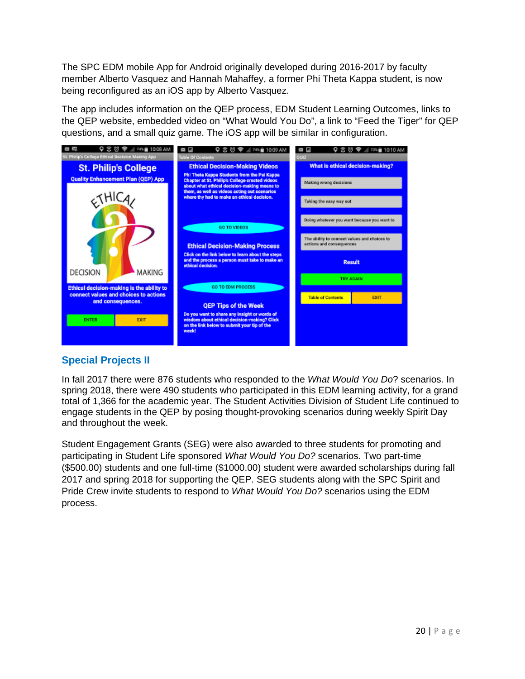The SPC EDM mobile App for Android originally developed during 2016-2017 by faculty member Alberto Vasquez and Hannah Mahaffey, a former Phi Theta Kappa student, is now being reconfigured as an iOS app by Alberto Vasquez.

The app includes information on the QEP process, EDM Student Learning Outcomes, links to the QEP website, embedded video on "What Would You Do", a link to "Feed the Tiger" for QEP questions, and a small quiz game. The iOS app will be similar in configuration.



# **Special Projects II**

In fall 2017 there were 876 students who responded to the *What Would You Do*? scenarios. In spring 2018, there were 490 students who participated in this EDM learning activity, for a grand total of 1,366 for the academic year. The Student Activities Division of Student Life continued to engage students in the QEP by posing thought-provoking scenarios during weekly Spirit Day and throughout the week.

Student Engagement Grants (SEG) were also awarded to three students for promoting and participating in Student Life sponsored *What Would You Do?* scenarios. Two part-time (\$500.00) students and one full-time (\$1000.00) student were awarded scholarships during fall 2017 and spring 2018 for supporting the QEP. SEG students along with the SPC Spirit and Pride Crew invite students to respond to *What Would You Do?* scenarios using the EDM process.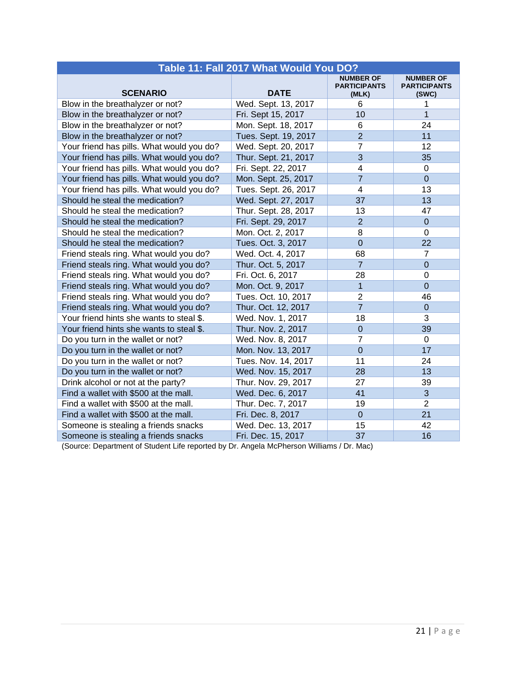| Table 11: Fall 2017 What Would You DO?    |                      |                                                  |                                                  |  |
|-------------------------------------------|----------------------|--------------------------------------------------|--------------------------------------------------|--|
| <b>SCENARIO</b>                           | <b>DATE</b>          | <b>NUMBER OF</b><br><b>PARTICIPANTS</b><br>(MLK) | <b>NUMBER OF</b><br><b>PARTICIPANTS</b><br>(SWC) |  |
| Blow in the breathalyzer or not?          | Wed. Sept. 13, 2017  | 6                                                | 1                                                |  |
| Blow in the breathalyzer or not?          | Fri. Sept 15, 2017   | 10                                               | $\mathbf 1$                                      |  |
| Blow in the breathalyzer or not?          | Mon. Sept. 18, 2017  | 6                                                | 24                                               |  |
| Blow in the breathalyzer or not?          | Tues. Sept. 19, 2017 | $\overline{2}$                                   | 11                                               |  |
| Your friend has pills. What would you do? | Wed. Sept. 20, 2017  | 7                                                | 12                                               |  |
| Your friend has pills. What would you do? | Thur. Sept. 21, 2017 | 3                                                | 35                                               |  |
| Your friend has pills. What would you do? | Fri. Sept. 22, 2017  | $\overline{\mathbf{4}}$                          | $\mathbf 0$                                      |  |
| Your friend has pills. What would you do? | Mon. Sept. 25, 2017  | $\overline{7}$                                   | $\overline{0}$                                   |  |
| Your friend has pills. What would you do? | Tues. Sept. 26, 2017 | $\overline{4}$                                   | 13                                               |  |
| Should he steal the medication?           | Wed. Sept. 27, 2017  | 37                                               | 13                                               |  |
| Should he steal the medication?           | Thur. Sept. 28, 2017 | 13                                               | 47                                               |  |
| Should he steal the medication?           | Fri. Sept. 29, 2017  | $\overline{2}$                                   | $\mathbf 0$                                      |  |
| Should he steal the medication?           | Mon. Oct. 2, 2017    | 8                                                | $\mathbf 0$                                      |  |
| Should he steal the medication?           | Tues. Oct. 3, 2017   | $\overline{0}$                                   | 22                                               |  |
| Friend steals ring. What would you do?    | Wed. Oct. 4, 2017    | 68                                               | $\overline{7}$                                   |  |
| Friend steals ring. What would you do?    | Thur. Oct. 5, 2017   | $\overline{7}$                                   | $\overline{0}$                                   |  |
| Friend steals ring. What would you do?    | Fri. Oct. 6, 2017    | 28                                               | 0                                                |  |
| Friend steals ring. What would you do?    | Mon. Oct. 9, 2017    | $\overline{1}$                                   | $\overline{0}$                                   |  |
| Friend steals ring. What would you do?    | Tues. Oct. 10, 2017  | $\overline{2}$                                   | 46                                               |  |
| Friend steals ring. What would you do?    | Thur. Oct. 12, 2017  | $\overline{7}$                                   | $\mathbf 0$                                      |  |
| Your friend hints she wants to steal \$.  | Wed. Nov. 1, 2017    | 18                                               | 3                                                |  |
| Your friend hints she wants to steal \$.  | Thur. Nov. 2, 2017   | $\mathbf 0$                                      | 39                                               |  |
| Do you turn in the wallet or not?         | Wed. Nov. 8, 2017    | $\overline{7}$                                   | $\overline{0}$                                   |  |
| Do you turn in the wallet or not?         | Mon. Nov. 13, 2017   | $\overline{0}$                                   | 17                                               |  |
| Do you turn in the wallet or not?         | Tues. Nov. 14, 2017  | 11                                               | 24                                               |  |
| Do you turn in the wallet or not?         | Wed. Nov. 15, 2017   | 28                                               | 13                                               |  |
| Drink alcohol or not at the party?        | Thur. Nov. 29, 2017  | 27                                               | 39                                               |  |
| Find a wallet with \$500 at the mall.     | Wed. Dec. 6, 2017    | 41                                               | 3                                                |  |
| Find a wallet with \$500 at the mall.     | Thur. Dec. 7, 2017   | 19                                               | $\overline{2}$                                   |  |
| Find a wallet with \$500 at the mall.     | Fri. Dec. 8, 2017    | $\overline{0}$                                   | 21                                               |  |
| Someone is stealing a friends snacks      | Wed. Dec. 13, 2017   | 15                                               | 42                                               |  |
| Someone is stealing a friends snacks      | Fri. Dec. 15, 2017   | 37                                               | 16                                               |  |

(Source: Department of Student Life reported by Dr. Angela McPherson Williams / Dr. Mac)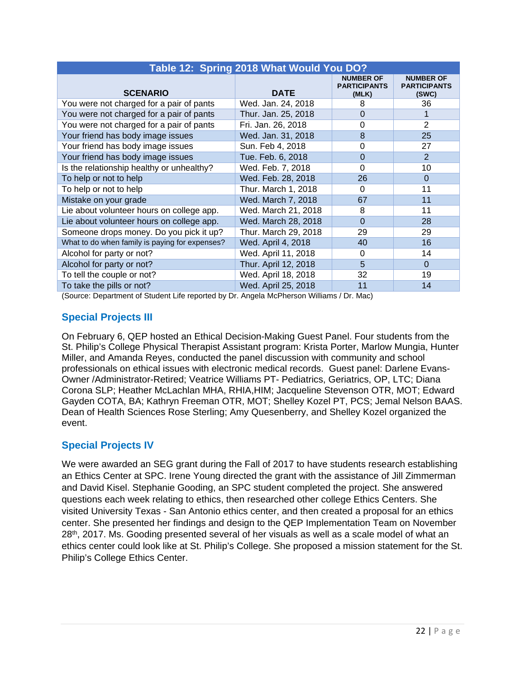| Table 12: Spring 2018 What Would You DO?       |                      |                                                  |                                                  |  |  |  |
|------------------------------------------------|----------------------|--------------------------------------------------|--------------------------------------------------|--|--|--|
| <b>SCENARIO</b>                                | <b>DATE</b>          | <b>NUMBER OF</b><br><b>PARTICIPANTS</b><br>(MLK) | <b>NUMBER OF</b><br><b>PARTICIPANTS</b><br>(SWC) |  |  |  |
| You were not charged for a pair of pants       | Wed. Jan. 24, 2018   | 8                                                | 36                                               |  |  |  |
| You were not charged for a pair of pants       | Thur. Jan. 25, 2018  | 0                                                |                                                  |  |  |  |
| You were not charged for a pair of pants       | Fri. Jan. 26, 2018   | 0                                                | 2                                                |  |  |  |
| Your friend has body image issues              | Wed. Jan. 31, 2018   | 8                                                | 25                                               |  |  |  |
| Your friend has body image issues              | Sun. Feb 4, 2018     | 0                                                | 27                                               |  |  |  |
| Your friend has body image issues              | Tue. Feb. 6, 2018    | $\Omega$                                         | $\mathcal{P}$                                    |  |  |  |
| Is the relationship healthy or unhealthy?      | Wed. Feb. 7, 2018    | 0                                                | 10                                               |  |  |  |
| To help or not to help                         | Wed. Feb. 28, 2018   | 26                                               | $\Omega$                                         |  |  |  |
| To help or not to help                         | Thur. March 1, 2018  | 0                                                | 11                                               |  |  |  |
| Mistake on your grade                          | Wed. March 7, 2018   | 67                                               | 11                                               |  |  |  |
| Lie about volunteer hours on college app.      | Wed. March 21, 2018  | 8                                                | 11                                               |  |  |  |
| Lie about volunteer hours on college app.      | Wed. March 28, 2018  | $\Omega$                                         | 28                                               |  |  |  |
| Someone drops money. Do you pick it up?        | Thur. March 29, 2018 | 29                                               | 29                                               |  |  |  |
| What to do when family is paying for expenses? | Wed. April 4, 2018   | 40                                               | 16                                               |  |  |  |
| Alcohol for party or not?                      | Wed. April 11, 2018  | $\Omega$                                         | 14                                               |  |  |  |
| Alcohol for party or not?                      | Thur. April 12, 2018 | 5                                                | $\Omega$                                         |  |  |  |
| To tell the couple or not?                     | Wed. April 18, 2018  | 32                                               | 19                                               |  |  |  |
| To take the pills or not?                      | Wed. April 25, 2018  | 11                                               | 14                                               |  |  |  |

(Source: Department of Student Life reported by Dr. Angela McPherson Williams / Dr. Mac)

# **Special Projects III**

On February 6, QEP hosted an Ethical Decision-Making Guest Panel. Four students from the St. Philip's College Physical Therapist Assistant program: Krista Porter, Marlow Mungia, Hunter Miller, and Amanda Reyes, conducted the panel discussion with community and school professionals on ethical issues with electronic medical records. Guest panel: Darlene Evans-Owner /Administrator-Retired; Veatrice Williams PT- Pediatrics, Geriatrics, OP, LTC; Diana Corona SLP; Heather McLachlan MHA, RHIA,HIM; Jacqueline Stevenson OTR, MOT; Edward Gayden COTA, BA; Kathryn Freeman OTR, MOT; Shelley Kozel PT, PCS; Jemal Nelson BAAS. Dean of Health Sciences Rose Sterling; Amy Quesenberry, and Shelley Kozel organized the event.

# **Special Projects IV**

We were awarded an SEG grant during the Fall of 2017 to have students research establishing an Ethics Center at SPC. Irene Young directed the grant with the assistance of Jill Zimmerman and David Kisel. Stephanie Gooding, an SPC student completed the project. She answered questions each week relating to ethics, then researched other college Ethics Centers. She visited University Texas - San Antonio ethics center, and then created a proposal for an ethics center. She presented her findings and design to the QEP Implementation Team on November  $28<sup>th</sup>$ , 2017. Ms. Gooding presented several of her visuals as well as a scale model of what an ethics center could look like at St. Philip's College. She proposed a mission statement for the St. Philip's College Ethics Center.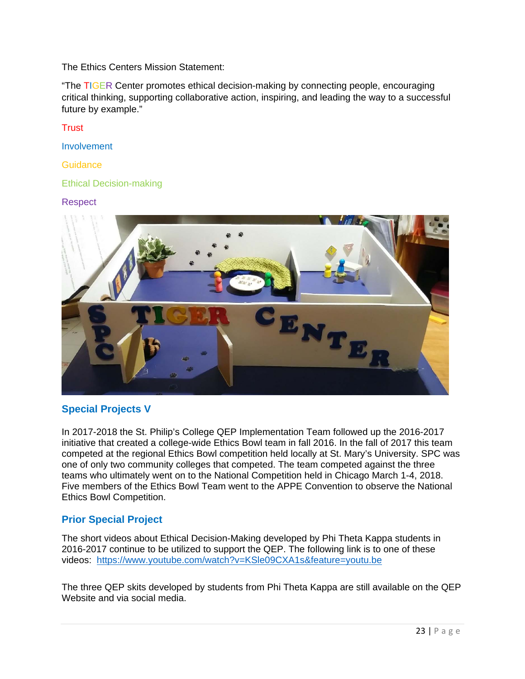The Ethics Centers Mission Statement:

"The TIGER Center promotes ethical decision-making by connecting people, encouraging critical thinking, supporting collaborative action, inspiring, and leading the way to a successful future by example."

#### **Trust**

Involvement

**Guidance** 

#### Ethical Decision-making

#### Respect



# **Special Projects V**

In 2017-2018 the St. Philip's College QEP Implementation Team followed up the 2016-2017 initiative that created a college-wide Ethics Bowl team in fall 2016. In the fall of 2017 this team competed at the regional Ethics Bowl competition held locally at St. Mary's University. SPC was one of only two community colleges that competed. The team competed against the three teams who ultimately went on to the National Competition held in Chicago March 1-4, 2018. Five members of the Ethics Bowl Team went to the APPE Convention to observe the National Ethics Bowl Competition.

# **Prior Special Project**

The short videos about Ethical Decision-Making developed by Phi Theta Kappa students in 2016-2017 continue to be utilized to support the QEP. The following link is to one of these videos: https://www.youtube.com/watch?v=KSle09CXA1s&feature=youtu.be

The three QEP skits developed by students from Phi Theta Kappa are still available on the QEP Website and via social media.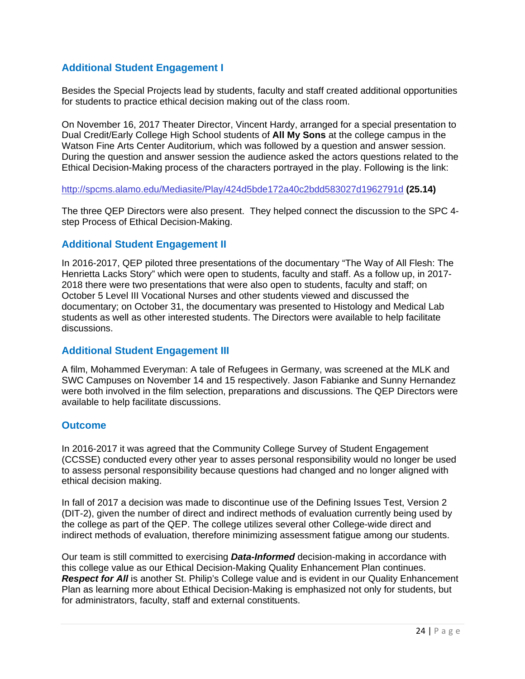# **Additional Student Engagement I**

Besides the Special Projects lead by students, faculty and staff created additional opportunities for students to practice ethical decision making out of the class room.

On November 16, 2017 Theater Director, Vincent Hardy, arranged for a special presentation to Dual Credit/Early College High School students of **All My Sons** at the college campus in the Watson Fine Arts Center Auditorium, which was followed by a question and answer session. During the question and answer session the audience asked the actors questions related to the Ethical Decision-Making process of the characters portrayed in the play. Following is the link:

http://spcms.alamo.edu/Mediasite/Play/424d5bde172a40c2bdd583027d1962791d **(25.14)**

The three QEP Directors were also present. They helped connect the discussion to the SPC 4 step Process of Ethical Decision-Making.

#### **Additional Student Engagement II**

In 2016-2017, QEP piloted three presentations of the documentary "The Way of All Flesh: The Henrietta Lacks Story" which were open to students, faculty and staff. As a follow up, in 2017- 2018 there were two presentations that were also open to students, faculty and staff; on October 5 Level III Vocational Nurses and other students viewed and discussed the documentary; on October 31, the documentary was presented to Histology and Medical Lab students as well as other interested students. The Directors were available to help facilitate discussions.

# **Additional Student Engagement III**

A film, Mohammed Everyman: A tale of Refugees in Germany, was screened at the MLK and SWC Campuses on November 14 and 15 respectively. Jason Fabianke and Sunny Hernandez were both involved in the film selection, preparations and discussions. The QEP Directors were available to help facilitate discussions.

#### **Outcome**

In 2016-2017 it was agreed that the Community College Survey of Student Engagement (CCSSE) conducted every other year to asses personal responsibility would no longer be used to assess personal responsibility because questions had changed and no longer aligned with ethical decision making.

In fall of 2017 a decision was made to discontinue use of the Defining Issues Test, Version 2 (DIT-2), given the number of direct and indirect methods of evaluation currently being used by the college as part of the QEP. The college utilizes several other College-wide direct and indirect methods of evaluation, therefore minimizing assessment fatigue among our students.

Our team is still committed to exercising *Data-Informed* decision-making in accordance with this college value as our Ethical Decision-Making Quality Enhancement Plan continues. **Respect for All** is another St. Philip's College value and is evident in our Quality Enhancement Plan as learning more about Ethical Decision-Making is emphasized not only for students, but for administrators, faculty, staff and external constituents.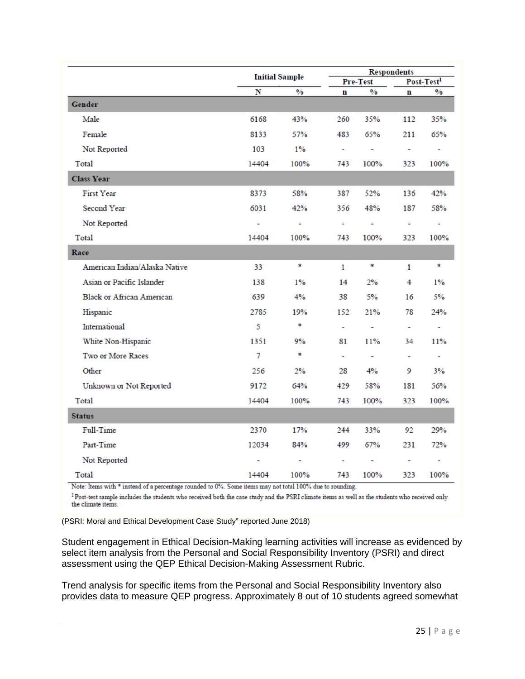|                                  | <b>Initial Sample</b>    |                                    | <b>Respondents</b> |               |                          |               |
|----------------------------------|--------------------------|------------------------------------|--------------------|---------------|--------------------------|---------------|
|                                  |                          |                                    | Pre-Test           |               | Post-Test <sup>1</sup>   |               |
|                                  | N                        | $\mathbf{0}_{\mathbf{0}}^{\prime}$ | $\mathbf{n}$       | $\frac{0}{0}$ | $\mathbf n$              | $\frac{0}{0}$ |
| Gender                           |                          |                                    |                    |               |                          |               |
| Male                             | 6168                     | 43%                                | 260                | 35%           | 112                      | 35%           |
| Female                           | 8133                     | 57%                                | 483                | 65%           | 211                      | 65%           |
| Not Reported                     | 103                      | $1\%$                              | ä,                 | à,            | ä,                       | Ξ             |
| Total                            | 14404                    | 100%                               | 743                | 100%          | 323                      | 100%          |
| <b>Class Year</b>                |                          |                                    |                    |               |                          |               |
| <b>First Year</b>                | 8373                     | 58%                                | 387                | 52%           | 136                      | 42%           |
| Second Year                      | 6031                     | 42%                                | 356                | 48%           | 187                      | 58%           |
| Not Reported                     | $\overline{\phantom{a}}$ | $\omega_{\rm c}$                   | i.                 | à.            | $\overline{\phantom{a}}$ | ù.            |
| Total                            | 14404                    | 100%                               | 743                | 100%          | 323                      | 100%          |
| Race                             |                          |                                    |                    |               |                          |               |
| American Indian/Alaska Native    | 33                       | *                                  | $\mathbf{1}$       | *             | $\mathbf{1}$             | *             |
| Asian or Pacific Islander        | 138                      | $1\%$                              | 14                 | 2%            | $\overline{4}$           | $1\%$         |
| <b>Black or African American</b> | 639                      | 4%                                 | 38                 | 5%            | 16                       | 5%            |
| Hispanic                         | 2785                     | 19%                                | 152                | 21%           | 78                       | 24%           |
| International                    | 5                        | *                                  | $\overline{a}$     | $\sim$        | $\overline{\phantom{a}}$ | $\sim$        |
| White Non-Hispanic               | 1351                     | 9%                                 | 81                 | 11%           | 34                       | 11%           |
| Two or More Races                | $\overline{7}$           | $\ast$                             | $\mathcal{L}$      | $\omega$      | $\sim$                   | $\sim$        |
| Other                            | 256                      | 2%                                 | 28                 | 4%            | 9                        | 3%            |
| Unknown or Not Reported          | 9172                     | 64%                                | 429                | 58%           | 181                      | 56%           |
| Total                            | 14404                    | 100%                               | 743                | 100%          | 323                      | 100%          |
| <b>Status</b>                    |                          |                                    |                    |               |                          |               |
| Full-Time                        | 2370                     | 17%                                | 244                | 33%           | 92                       | 29%           |
| Part-Time                        | 12034                    | 84%                                | 499                | 67%           | 231                      | 72%           |
| Not Reported                     |                          | $\sim$                             | ÷                  | à.            | $\frac{1}{2}$            | u,            |
| Total                            | 14404                    | 100%                               | 743                | 100%          | 323                      | 100%          |

Note: Items with \* instead of a percentage rounded to 0%. Some items may not total 100% due to rounding.

<sup>1</sup> Post-test sample includes the students who received both the case study and the PSRI climate items as well as the students who received only the climate items.

(PSRI: Moral and Ethical Development Case Study" reported June 2018)

Student engagement in Ethical Decision-Making learning activities will increase as evidenced by select item analysis from the Personal and Social Responsibility Inventory (PSRI) and direct assessment using the QEP Ethical Decision-Making Assessment Rubric.

Trend analysis for specific items from the Personal and Social Responsibility Inventory also provides data to measure QEP progress. Approximately 8 out of 10 students agreed somewhat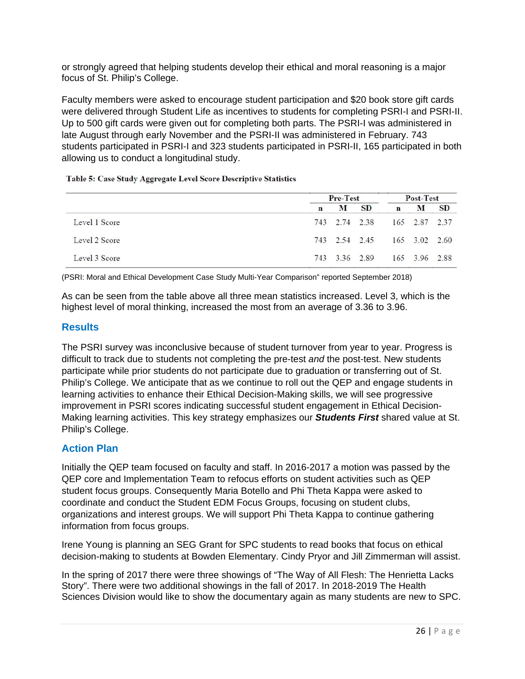or strongly agreed that helping students develop their ethical and moral reasoning is a major focus of St. Philip's College.

Faculty members were asked to encourage student participation and \$20 book store gift cards were delivered through Student Life as incentives to students for completing PSRI-I and PSRI-II. Up to 500 gift cards were given out for completing both parts. The PSRI-I was administered in late August through early November and the PSRI-II was administered in February. 743 students participated in PSRI-I and 323 students participated in PSRI-II, 165 participated in both allowing us to conduct a longitudinal study.

Table 5: Case Study Aggregate Level Score Descriptive Statistics

|               |   | Pre-Test      |               |             | Post-Test     |           |  |
|---------------|---|---------------|---------------|-------------|---------------|-----------|--|
|               | n | М             | SD.           | $\mathbf n$ | м             | <b>SD</b> |  |
| Level 1 Score |   | 743 2.74 2.38 |               |             | 165 2.87 2.37 |           |  |
| Level 2 Score |   |               | 743 2.54 2.45 |             | 165 3.02 2.60 |           |  |
| Level 3 Score |   | 743 3.36 2.89 |               |             | 165 3.96 2.88 |           |  |

(PSRI: Moral and Ethical Development Case Study Multi-Year Comparison" reported September 2018)

As can be seen from the table above all three mean statistics increased. Level 3, which is the highest level of moral thinking, increased the most from an average of 3.36 to 3.96.

# **Results**

The PSRI survey was inconclusive because of student turnover from year to year. Progress is difficult to track due to students not completing the pre-test *and* the post-test. New students participate while prior students do not participate due to graduation or transferring out of St. Philip's College. We anticipate that as we continue to roll out the QEP and engage students in learning activities to enhance their Ethical Decision-Making skills, we will see progressive improvement in PSRI scores indicating successful student engagement in Ethical Decision-Making learning activities. This key strategy emphasizes our *Students First* shared value at St. Philip's College.

# **Action Plan**

Initially the QEP team focused on faculty and staff. In 2016-2017 a motion was passed by the QEP core and Implementation Team to refocus efforts on student activities such as QEP student focus groups. Consequently Maria Botello and Phi Theta Kappa were asked to coordinate and conduct the Student EDM Focus Groups, focusing on student clubs, organizations and interest groups. We will support Phi Theta Kappa to continue gathering information from focus groups.

Irene Young is planning an SEG Grant for SPC students to read books that focus on ethical decision-making to students at Bowden Elementary. Cindy Pryor and Jill Zimmerman will assist.

In the spring of 2017 there were three showings of "The Way of All Flesh: The Henrietta Lacks Story". There were two additional showings in the fall of 2017. In 2018-2019 The Health Sciences Division would like to show the documentary again as many students are new to SPC.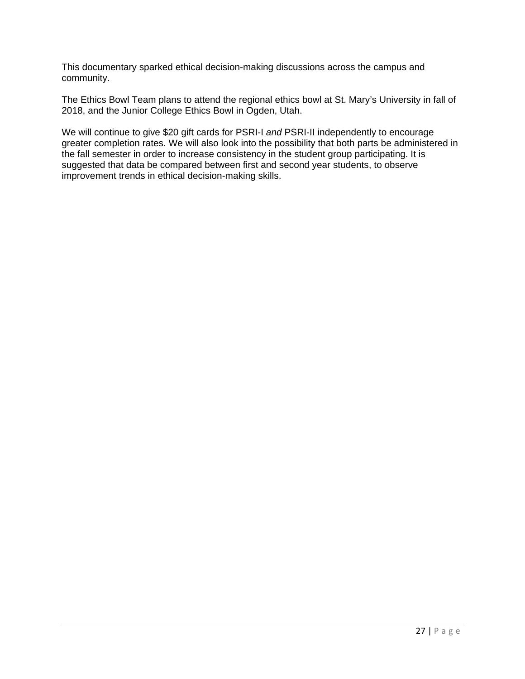This documentary sparked ethical decision-making discussions across the campus and community.

The Ethics Bowl Team plans to attend the regional ethics bowl at St. Mary's University in fall of 2018, and the Junior College Ethics Bowl in Ogden, Utah.

We will continue to give \$20 gift cards for PSRI-I *and* PSRI-II independently to encourage greater completion rates. We will also look into the possibility that both parts be administered in the fall semester in order to increase consistency in the student group participating. It is suggested that data be compared between first and second year students, to observe improvement trends in ethical decision-making skills.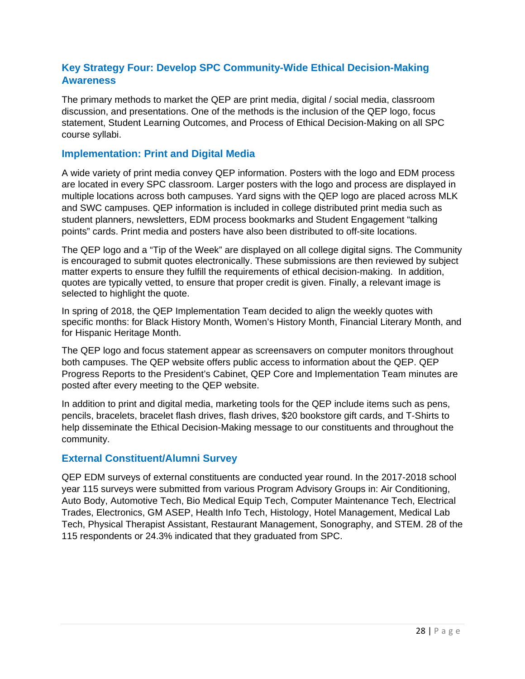# **Key Strategy Four: Develop SPC Community-Wide Ethical Decision-Making Awareness**

The primary methods to market the QEP are print media, digital / social media, classroom discussion, and presentations. One of the methods is the inclusion of the QEP logo, focus statement, Student Learning Outcomes, and Process of Ethical Decision-Making on all SPC course syllabi.

#### **Implementation: Print and Digital Media**

A wide variety of print media convey QEP information. Posters with the logo and EDM process are located in every SPC classroom. Larger posters with the logo and process are displayed in multiple locations across both campuses. Yard signs with the QEP logo are placed across MLK and SWC campuses. QEP information is included in college distributed print media such as student planners, newsletters, EDM process bookmarks and Student Engagement "talking points" cards. Print media and posters have also been distributed to off-site locations.

The QEP logo and a "Tip of the Week" are displayed on all college digital signs. The Community is encouraged to submit quotes electronically. These submissions are then reviewed by subject matter experts to ensure they fulfill the requirements of ethical decision-making. In addition, quotes are typically vetted, to ensure that proper credit is given. Finally, a relevant image is selected to highlight the quote.

In spring of 2018, the QEP Implementation Team decided to align the weekly quotes with specific months: for Black History Month, Women's History Month, Financial Literary Month, and for Hispanic Heritage Month.

The QEP logo and focus statement appear as screensavers on computer monitors throughout both campuses. The QEP website offers public access to information about the QEP. QEP Progress Reports to the President's Cabinet, QEP Core and Implementation Team minutes are posted after every meeting to the QEP website.

In addition to print and digital media, marketing tools for the QEP include items such as pens, pencils, bracelets, bracelet flash drives, flash drives, \$20 bookstore gift cards, and T-Shirts to help disseminate the Ethical Decision-Making message to our constituents and throughout the community.

# **External Constituent/Alumni Survey**

QEP EDM surveys of external constituents are conducted year round. In the 2017-2018 school year 115 surveys were submitted from various Program Advisory Groups in: Air Conditioning, Auto Body, Automotive Tech, Bio Medical Equip Tech, Computer Maintenance Tech, Electrical Trades, Electronics, GM ASEP, Health Info Tech, Histology, Hotel Management, Medical Lab Tech, Physical Therapist Assistant, Restaurant Management, Sonography, and STEM. 28 of the 115 respondents or 24.3% indicated that they graduated from SPC.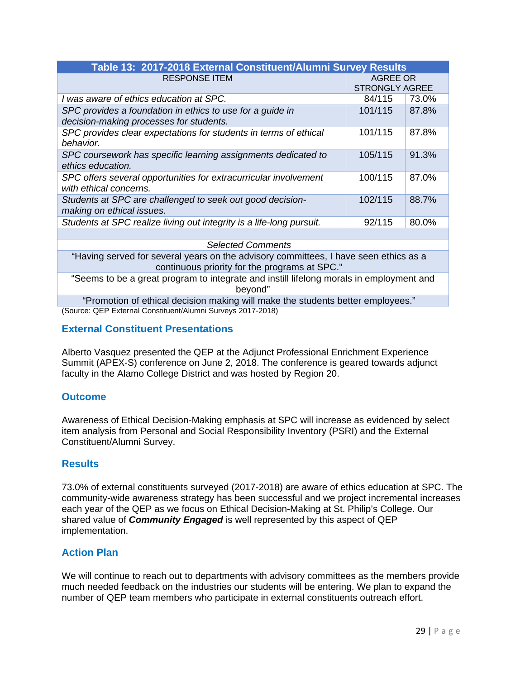| Table 13: 2017-2018 External Constituent/Alumni Survey Results                                                                        |                                   |       |  |  |  |
|---------------------------------------------------------------------------------------------------------------------------------------|-----------------------------------|-------|--|--|--|
| <b>RESPONSE ITEM</b>                                                                                                                  | AGREE OR<br><b>STRONGLY AGREE</b> |       |  |  |  |
| I was aware of ethics education at SPC.                                                                                               | 84/115                            | 73.0% |  |  |  |
| SPC provides a foundation in ethics to use for a guide in<br>decision-making processes for students.                                  | 101/115                           | 87.8% |  |  |  |
| SPC provides clear expectations for students in terms of ethical<br>behavior.                                                         | 101/115                           | 87.8% |  |  |  |
| SPC coursework has specific learning assignments dedicated to<br>ethics education.                                                    | 105/115                           | 91.3% |  |  |  |
| SPC offers several opportunities for extracurricular involvement<br>with ethical concerns.                                            | 100/115                           | 87.0% |  |  |  |
| Students at SPC are challenged to seek out good decision-<br>making on ethical issues.                                                | 102/115                           | 88.7% |  |  |  |
| Students at SPC realize living out integrity is a life-long pursuit.                                                                  | 92/115                            | 80.0% |  |  |  |
|                                                                                                                                       |                                   |       |  |  |  |
| <b>Selected Comments</b>                                                                                                              |                                   |       |  |  |  |
| "Having served for several years on the advisory committees, I have seen ethics as a<br>continuous priority for the programs at SPC." |                                   |       |  |  |  |
| "Seems to be a great program to integrate and instill lifelong morals in employment and<br>beyond"                                    |                                   |       |  |  |  |
| "Promotion of ethical decision making will make the students better employees."                                                       |                                   |       |  |  |  |
| (Source: QEP External Constituent/Alumni Surveys 2017-2018)                                                                           |                                   |       |  |  |  |

# **External Constituent Presentations**

Alberto Vasquez presented the QEP at the Adjunct Professional Enrichment Experience Summit (APEX-S) conference on June 2, 2018. The conference is geared towards adjunct faculty in the Alamo College District and was hosted by Region 20.

# **Outcome**

Awareness of Ethical Decision-Making emphasis at SPC will increase as evidenced by select item analysis from Personal and Social Responsibility Inventory (PSRI) and the External Constituent/Alumni Survey.

#### **Results**

73.0% of external constituents surveyed (2017-2018) are aware of ethics education at SPC. The community-wide awareness strategy has been successful and we project incremental increases each year of the QEP as we focus on Ethical Decision-Making at St. Philip's College. Our shared value of *Community Engaged* is well represented by this aspect of QEP implementation.

# **Action Plan**

We will continue to reach out to departments with advisory committees as the members provide much needed feedback on the industries our students will be entering. We plan to expand the number of QEP team members who participate in external constituents outreach effort.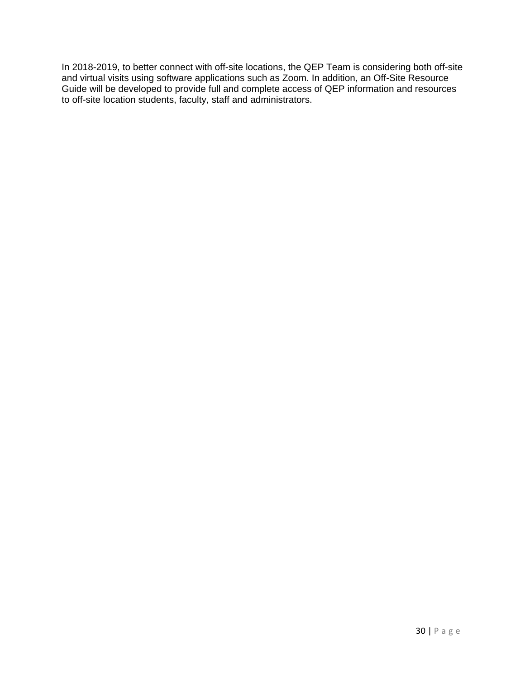In 2018-2019, to better connect with off-site locations, the QEP Team is considering both off-site and virtual visits using software applications such as Zoom. In addition, an Off-Site Resource Guide will be developed to provide full and complete access of QEP information and resources to off-site location students, faculty, staff and administrators.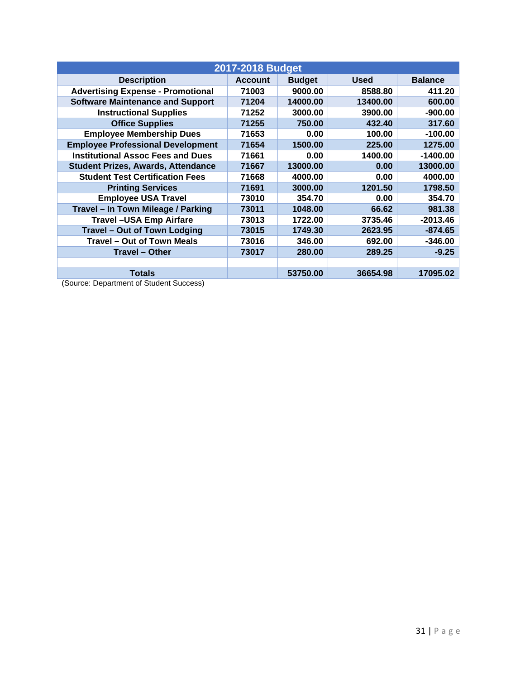| 2017-2018 Budget                          |                |               |             |                |  |  |
|-------------------------------------------|----------------|---------------|-------------|----------------|--|--|
| <b>Description</b>                        | <b>Account</b> | <b>Budget</b> | <b>Used</b> | <b>Balance</b> |  |  |
| <b>Advertising Expense - Promotional</b>  | 71003          | 9000.00       | 8588.80     | 411.20         |  |  |
| <b>Software Maintenance and Support</b>   | 71204          | 14000.00      | 13400.00    | 600.00         |  |  |
| <b>Instructional Supplies</b>             | 71252          | 3000.00       | 3900.00     | $-900.00$      |  |  |
| <b>Office Supplies</b>                    | 71255          | 750.00        | 432.40      | 317.60         |  |  |
| <b>Employee Membership Dues</b>           | 71653          | 0.00          | 100.00      | $-100.00$      |  |  |
| <b>Employee Professional Development</b>  | 71654          | 1500.00       | 225.00      | 1275.00        |  |  |
| <b>Institutional Assoc Fees and Dues</b>  | 71661          | 0.00          | 1400.00     | $-1400.00$     |  |  |
| <b>Student Prizes, Awards, Attendance</b> | 71667          | 13000.00      | 0.00        | 13000.00       |  |  |
| <b>Student Test Certification Fees</b>    | 71668          | 4000.00       | 0.00        | 4000.00        |  |  |
| <b>Printing Services</b>                  | 71691          | 3000.00       | 1201.50     | 1798.50        |  |  |
| <b>Employee USA Travel</b>                | 73010          | 354.70        | 0.00        | 354.70         |  |  |
| Travel - In Town Mileage / Parking        | 73011          | 1048.00       | 66.62       | 981.38         |  |  |
| <b>Travel-USA Emp Airfare</b>             | 73013          | 1722.00       | 3735.46     | $-2013.46$     |  |  |
| <b>Travel - Out of Town Lodging</b>       | 73015          | 1749.30       | 2623.95     | $-874.65$      |  |  |
| <b>Travel – Out of Town Meals</b>         | 73016          | 346.00        | 692.00      | $-346.00$      |  |  |
| <b>Travel - Other</b>                     | 73017          | 280.00        | 289.25      | $-9.25$        |  |  |
|                                           |                |               |             |                |  |  |
| <b>Totals</b><br>$\sim$                   |                | 53750.00      | 36654.98    | 17095.02       |  |  |

(Source: Department of Student Success)